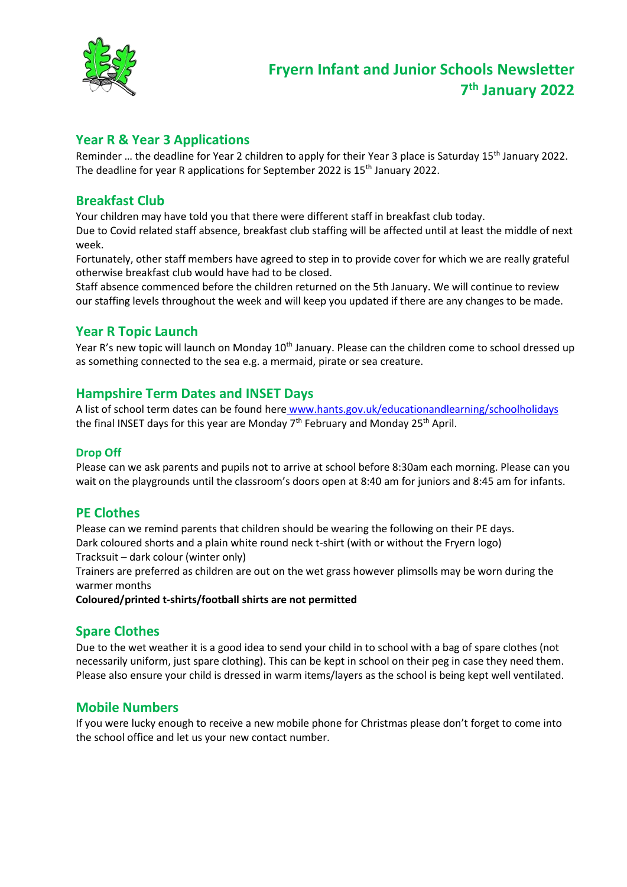

### **Year R & Year 3 Applications**

Reminder ... the deadline for Year 2 children to apply for their Year 3 place is Saturday 15<sup>th</sup> January 2022. The deadline for year R applications for September 2022 is 15<sup>th</sup> January 2022.

### **Breakfast Club**

Your children may have told you that there were different staff in breakfast club today. Due to Covid related staff absence, breakfast club staffing will be affected until at least the middle of next week.

Fortunately, other staff members have agreed to step in to provide cover for which we are really grateful otherwise breakfast club would have had to be closed.

Staff absence commenced before the children returned on the 5th January. We will continue to review our staffing levels throughout the week and will keep you updated if there are any changes to be made.

### **Year R Topic Launch**

Year R's new topic will launch on Monday 10<sup>th</sup> January. Please can the children come to school dressed up as something connected to the sea e.g. a mermaid, pirate or sea creature.

### **Hampshire Term Dates and INSET Days**

A list of school term dates can be found here www.hants.gov.uk/educationandlearning/schoolholidays the final INSET days for this year are Monday  $7<sup>th</sup>$  February and Monday 25<sup>th</sup> April.

#### **Drop Off**

Please can we ask parents and pupils not to arrive at school before 8:30am each morning. Please can you wait on the playgrounds until the classroom's doors open at 8:40 am for juniors and 8:45 am for infants.

### **PE Clothes**

Please can we remind parents that children should be wearing the following on their PE days. Dark coloured shorts and a plain white round neck t-shirt (with or without the Fryern logo) Tracksuit – dark colour (winter only)

Trainers are preferred as children are out on the wet grass however plimsolls may be worn during the warmer months

**Coloured/printed t-shirts/football shirts are not permitted**

### **Spare Clothes**

Due to the wet weather it is a good idea to send your child in to school with a bag of spare clothes (not necessarily uniform, just spare clothing). This can be kept in school on their peg in case they need them. Please also ensure your child is dressed in warm items/layers as the school is being kept well ventilated.

### **Mobile Numbers**

If you were lucky enough to receive a new mobile phone for Christmas please don't forget to come into the school office and let us your new contact number.